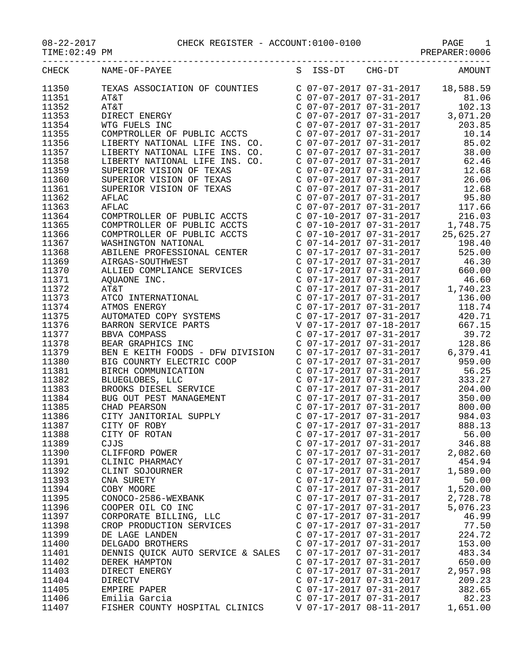$TIME:02:49$  PM

## 08-22-2017 CHECK REGISTER - ACCOUNT:0100-0100 PAGE 1

| CHECK          | NAME-OF-PAYEE                                                    | S ISS-DT                                           | $CHG-DT$                                                                                                   | AMOUNT                               |
|----------------|------------------------------------------------------------------|----------------------------------------------------|------------------------------------------------------------------------------------------------------------|--------------------------------------|
| 11350          | TEXAS ASSOCIATION OF COUNTIES                                    |                                                    |                                                                                                            | $C$ 07-07-2017 07-31-2017 18,588.59  |
| 11351          | AT&T                                                             |                                                    | C 07-07-2017 07-31-2017                                                                                    | 81.06                                |
| 11352          | AT&T                                                             |                                                    | $C$ 07-07-2017 07-31-2017                                                                                  | 102.13                               |
| 11353          | DIRECT ENERGY                                                    |                                                    | $C$ 07-07-2017 07-31-2017                                                                                  | 3,071.20                             |
| 11354          | WTG FUELS INC                                                    |                                                    | C 07-07-2017 07-31-2017                                                                                    | 203.85                               |
| 11355          | COMPTROLLER OF PUBLIC ACCTS                                      |                                                    | C 07-07-2017 07-31-2017                                                                                    | 10.14                                |
| 11356          | LIBERTY NATIONAL LIFE INS. CO.                                   |                                                    | $C$ 07-07-2017 07-31-2017                                                                                  | 85.02                                |
| 11357          |                                                                  | C 07-07-2017 07-31-2017                            |                                                                                                            | 38.00                                |
| 11358          | LIBERTY NATIONAL LIFE INS. CO.<br>LIBERTY NATIONAL LIFE INS. CO. | C 07-07-2017 07-31-2017                            |                                                                                                            | 62.46                                |
| 11359          | SUPERIOR VISION OF TEXAS                                         | $C$ 07-07-2017 07-31-2017                          |                                                                                                            | 12.68                                |
| 11360          | SUPERIOR VISION OF TEXAS                                         | C 07-07-2017 07-31-2017                            |                                                                                                            | 26.06                                |
| 11361          | SUPERIOR VISION OF TEXAS                                         | C 07-07-2017 07-31-2017                            |                                                                                                            | 12.68                                |
| 11362          | AFLAC                                                            |                                                    | C 07-07-2017 07-31-2017                                                                                    | 95.80                                |
|                |                                                                  |                                                    | $C$ 07-07-2017 07-31-2017                                                                                  |                                      |
| 11363          | AFLAC                                                            |                                                    | C 07-10-2017 07-31-2017                                                                                    | 117.66<br>216.03                     |
| 11364          | COMPTROLLER OF PUBLIC ACCTS                                      |                                                    |                                                                                                            |                                      |
| 11365          | COMPTROLLER OF PUBLIC ACCTS                                      |                                                    |                                                                                                            | C $07-10-2017$ $07-31-2017$ 1,748.75 |
| 11366<br>11367 | COMPTROLLER OF PUBLIC ACCTS                                      |                                                    |                                                                                                            | $C$ 07-10-2017 07-31-2017 25,625.27  |
|                | WASHINGTON NATIONAL                                              |                                                    | $C$ 07-14-2017 07-31-2017                                                                                  | 198.40                               |
| 11368          | ABILENE PROFESSIONAL CENTER                                      |                                                    | C 07-17-2017 07-31-2017                                                                                    | 525.00                               |
| 11369          | AIRGAS-SOUTHWEST                                                 |                                                    | C 07-17-2017 07-31-2017                                                                                    | 46.30                                |
| 11370          | ALLIED COMPLIANCE SERVICES                                       |                                                    | C 07-17-2017 07-31-2017                                                                                    | 660.00                               |
| 11371          | AQUAONE INC.                                                     |                                                    | C 07-17-2017 07-31-2017                                                                                    | 46.60                                |
| 11372          | AT&T                                                             |                                                    | $C$ 07-17-2017 07-31-2017                                                                                  | 1,740.23                             |
| 11373          | ATCO INTERNATIONAL                                               |                                                    | C 07-17-2017 07-31-2017<br>C 07-17-2017 07-31-2017                                                         | 136.00                               |
| 11374          | ATMOS ENERGY                                                     |                                                    |                                                                                                            | 118.74                               |
| 11375          | AUTOMATED COPY SYSTEMS                                           |                                                    | C 07-17-2017 07-31-2017                                                                                    | 420.71                               |
| 11376          | BARRON SERVICE PARTS                                             |                                                    | V 07-17-2017 07-18-2017                                                                                    | 667.15                               |
| 11377          | BBVA COMPASS                                                     |                                                    | C 07-17-2017 07-31-2017                                                                                    | 39.72                                |
| 11378          | BEAR GRAPHICS INC                                                |                                                    | $C$ 07-17-2017 07-31-2017<br>C 07-17-2017 07-31-2017<br>C 07-17-2017 07-31-2017<br>C 07-17-2017 07-31-2017 | 128.86                               |
| 11379          | BEN E KEITH FOODS - DFW DIVISION                                 |                                                    |                                                                                                            | 6,379.41                             |
| 11380          | BIG COUNRTY ELECTRIC COOP                                        |                                                    |                                                                                                            | 959.00                               |
| 11381          | BIRCH COMMUNICATION                                              |                                                    | C 07-17-2017 07-31-2017                                                                                    | 56.25                                |
| 11382          | BLUEGLOBES, LLC                                                  |                                                    | C 07-17-2017 07-31-2017                                                                                    | 333.27                               |
| 11383          | BROOKS DIESEL SERVICE                                            |                                                    | $C$ 07-17-2017 07-31-2017                                                                                  | 204.00                               |
| 11384          | BUG OUT PEST MANAGEMENT                                          |                                                    | C 07-17-2017 07-31-2017                                                                                    | 350.00                               |
| 11385          | CHAD PEARSON                                                     |                                                    | $C$ 07-17-2017 07-31-2017                                                                                  | 800.00                               |
| 11386          | CITY JANITORIAL SUPPLY                                           |                                                    | C 07-17-2017 07-31-2017                                                                                    | 984.03                               |
| 11387          | CITY OF ROBY                                                     | C 07-17-2017 07-31-2017                            |                                                                                                            | 888.13                               |
| 11388          | CITY OF ROTAN                                                    | C 07-17-2017 07-31-2017                            |                                                                                                            | 56.00                                |
| 11389          | CJJS                                                             | C 07-17-2017 07-31-2017<br>C 07-17-2017 07-31-2017 |                                                                                                            | 346.88                               |
| 11390<br>11391 | CLIFFORD POWER                                                   | C 07-17-2017 07-31-2017                            |                                                                                                            | 2,082.60<br>454.94                   |
| 11392          | CLINIC PHARMACY                                                  | C 07-17-2017 07-31-2017                            |                                                                                                            |                                      |
|                | CLINT SOJOURNER                                                  |                                                    |                                                                                                            | 1,589.00                             |
| 11393          | CNA SURETY                                                       | C 07-17-2017 07-31-2017                            |                                                                                                            | 50.00                                |
| 11394          | COBY MOORE                                                       | C 07-17-2017 07-31-2017                            |                                                                                                            | 1,520.00                             |
| 11395          | CONOCO-2586-WEXBANK                                              | C 07-17-2017 07-31-2017<br>C 07-17-2017 07-31-2017 |                                                                                                            | 2,728.78<br>5,076.23                 |
| 11396<br>11397 | COOPER OIL CO INC                                                | C 07-17-2017 07-31-2017                            |                                                                                                            | 46.99                                |
|                | CORPORATE BILLING, LLC<br>CROP PRODUCTION SERVICES               | C 07-17-2017 07-31-2017                            |                                                                                                            |                                      |
| 11398          |                                                                  | C 07-17-2017 07-31-2017                            |                                                                                                            | 77.50<br>224.72                      |
| 11399<br>11400 | DE LAGE LANDEN<br>DELGADO BROTHERS                               | C 07-17-2017 07-31-2017                            |                                                                                                            | 153.00                               |
|                |                                                                  | C 07-17-2017 07-31-2017                            |                                                                                                            | 483.34                               |
| 11401          | DENNIS QUICK AUTO SERVICE & SALES                                | C 07-17-2017 07-31-2017                            |                                                                                                            | 650.00                               |
| 11402<br>11403 | DEREK HAMPTON<br>DIRECT ENERGY                                   | C 07-17-2017 07-31-2017                            |                                                                                                            | 2,957.98                             |
| 11404          | DIRECTV                                                          | C 07-17-2017 07-31-2017                            |                                                                                                            | 209.23                               |
|                |                                                                  | C 07-17-2017 07-31-2017                            |                                                                                                            |                                      |
| 11405          | EMPIRE PAPER                                                     | C 07-17-2017 07-31-2017                            |                                                                                                            | 382.65                               |
| 11406<br>11407 | Emilia Garcia                                                    | V 07-17-2017 08-11-2017                            |                                                                                                            | 82.23                                |
|                | FISHER COUNTY HOSPITAL CLINICS                                   |                                                    |                                                                                                            | 1,651.00                             |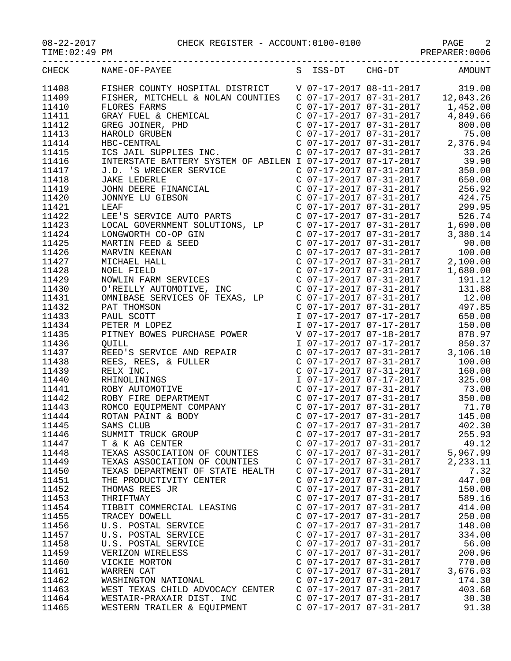TIME:02:49 PM PREPARER:0006

| エエロロ・ソム・コン・エロ |                                                                                                                                                                                                                                                         |                                                                               | FREEARER . 0000                                                                                                                                                             |
|---------------|---------------------------------------------------------------------------------------------------------------------------------------------------------------------------------------------------------------------------------------------------------|-------------------------------------------------------------------------------|-----------------------------------------------------------------------------------------------------------------------------------------------------------------------------|
|               | CHECK NAME-OF-PAYEE                                                                                                                                                                                                                                     |                                                                               | S ISS-DT CHG-DT AMOUNT                                                                                                                                                      |
| 11408         | FISHER COUNTY HOSPITAL DISTRICT<br>FISHER, MITCHELL & NOLAN COUNTIES<br>FLORES FARMS COUNTIES C 07-17-2017 07-31-2017 12,043.26<br>C 07-17-2017 07-31-2017 1,452.00                                                                                     |                                                                               |                                                                                                                                                                             |
| 11409         |                                                                                                                                                                                                                                                         |                                                                               |                                                                                                                                                                             |
| 11410         |                                                                                                                                                                                                                                                         |                                                                               |                                                                                                                                                                             |
| 11411         | FLORES FARMS<br>GRAY FUEL & CHEMICAL<br>GREG JOINER, PHD<br>HAROLD GRUBEN<br>HBC-CENTRAL<br>ICS JAIL SUPPLIES INC.<br>NURJALL SUPPLIES INC.                                                                                                             | C 07-17-2017 07-31-2017                                                       | 4,849.66                                                                                                                                                                    |
| 11412         |                                                                                                                                                                                                                                                         | C 07-17-2017 07-31-2017                                                       | 800.00                                                                                                                                                                      |
| 11413         |                                                                                                                                                                                                                                                         |                                                                               | 75.00                                                                                                                                                                       |
| 11414         | HAROLD GRUBEN<br>HBC-CENTRAL<br>ICS JAIL SUPPLIES INC.<br>ICS JAIL SUPPLIES INC.<br>ICS JAIL SUPPLIES INC.<br>C 07-17-2017 07-31-2017<br>C 07-17-2017 07-31-2017<br>C 07-17-2017 07-31-2017<br>2,376.94<br>C 07-17-2017 07-31-2017<br>33.26             |                                                                               |                                                                                                                                                                             |
| 11415         |                                                                                                                                                                                                                                                         |                                                                               |                                                                                                                                                                             |
|               |                                                                                                                                                                                                                                                         |                                                                               |                                                                                                                                                                             |
| 11416         |                                                                                                                                                                                                                                                         |                                                                               | C 07-17-2017 07-31-2017 350.00                                                                                                                                              |
| 11417         |                                                                                                                                                                                                                                                         | C 07-17-2017 07-31-2017                                                       |                                                                                                                                                                             |
| 11418         | J.D. 'S WRECKER SERVICE<br>JAKE LEDERLE<br>JOHN DEERE FINANCIAL<br>JONNYE LU GIBSON<br>LEAF                                                                                                                                                             |                                                                               | 650.00                                                                                                                                                                      |
| 11419         |                                                                                                                                                                                                                                                         |                                                                               | $\begin{array}{llll} \mbox{C} & 07-17-2017 & 07-31-2017 & 256.92 \\ \mbox{C} & 07-17-2017 & 07-31-2017 & 424.75 \\ \mbox{C} & 07-17-2017 & 07-31-2017 & 299.95 \end{array}$ |
| 11420         |                                                                                                                                                                                                                                                         |                                                                               |                                                                                                                                                                             |
| 11421         | LEE'S SERVICE AUTO PARTS C 07-17-2017 07-31-2017                                                                                                                                                                                                        |                                                                               |                                                                                                                                                                             |
| 11422         |                                                                                                                                                                                                                                                         |                                                                               | 526.74                                                                                                                                                                      |
| 11423         |                                                                                                                                                                                                                                                         |                                                                               |                                                                                                                                                                             |
| 11424         |                                                                                                                                                                                                                                                         |                                                                               | 3,380.14                                                                                                                                                                    |
| 11425         |                                                                                                                                                                                                                                                         |                                                                               |                                                                                                                                                                             |
| 11426         |                                                                                                                                                                                                                                                         |                                                                               |                                                                                                                                                                             |
| 11427         |                                                                                                                                                                                                                                                         |                                                                               |                                                                                                                                                                             |
| 11428         |                                                                                                                                                                                                                                                         |                                                                               |                                                                                                                                                                             |
| 11429         |                                                                                                                                                                                                                                                         |                                                                               |                                                                                                                                                                             |
| 11430         | LOCAL GOVERNMENT SOLUTIONS, LP<br>C 07-17-2017 07-31-2017 3,380.14<br>MARTIN FEED & SEED<br>MARVIN KEENAN<br>C 07-17-2017 07-31-2017 3,380.14<br>C 07-17-2017 07-31-2017 100.00<br>MICHAEL HALL C 07-17-2017 07-31-2017 2,100.00<br>NOEL                | C 07-17-2017 07-31-2017<br>C 07-17-2017 07-31-2017                            |                                                                                                                                                                             |
| 11431         | OMNIBASE SERVICES OF TEXAS, LP                                                                                                                                                                                                                          |                                                                               | 12.00                                                                                                                                                                       |
| 11432         | PAT THOMSON                                                                                                                                                                                                                                             | $C$ 07-17-2017 07-31-2017                                                     | 497.85                                                                                                                                                                      |
| 11433         | PAUL SCOTT                                                                                                                                                                                                                                              | I 07-17-2017 07-17-2017                                                       | 650.00                                                                                                                                                                      |
| 11434         | PETER M LOPEZ                                                                                                                                                                                                                                           | I 07-17-2017 07-17-2017                                                       | 150.00                                                                                                                                                                      |
| 11435         | PETER M LOPEZ<br>PITNEY BOWES PURCHASE POWER                                                                                                                                                                                                            |                                                                               |                                                                                                                                                                             |
| 11436         | PIINEY BOWES PORCHASE POWER<br>QUILL<br>REED'S SERVICE AND REPAIR<br>REES, REES, & FULLER<br>RELX INC.<br>RHINOLININGS<br>ROBY AUTOMOTIVE<br>ROBY FIRE DEPARTMENT<br>ROBY FIRE DEPARTMENT<br>ROMCO EQUIPMENT COMPANY<br>ROTAN PAINT & BODY<br>SAMS CLUB |                                                                               | V 07-17-2017 07-18-2017 878.97<br>I 07-17-2017 07-17-2017 850.37<br>C 07-17-2017 07-31-2017 3,106.10<br>C 07-17-2017 07-31-2017 100.00                                      |
| 11437         |                                                                                                                                                                                                                                                         |                                                                               |                                                                                                                                                                             |
| 11438         |                                                                                                                                                                                                                                                         |                                                                               |                                                                                                                                                                             |
| 11439         |                                                                                                                                                                                                                                                         | C 07-17-2017 07-31-2017                                                       | 160.00                                                                                                                                                                      |
| 11440         |                                                                                                                                                                                                                                                         | I 07-17-2017 07-17-2017                                                       | 325.00                                                                                                                                                                      |
| 11441         |                                                                                                                                                                                                                                                         | C 07-17-2017 07-31-2017<br>C 07-17-2017 07-31-2017<br>C 07-17-2017 07-31-2017 | 73.00                                                                                                                                                                       |
| 11442         |                                                                                                                                                                                                                                                         |                                                                               | 350.00                                                                                                                                                                      |
| 11443         |                                                                                                                                                                                                                                                         |                                                                               | 71.70                                                                                                                                                                       |
| 11444         |                                                                                                                                                                                                                                                         | C 07-17-2017 07-31-2017                                                       | 145.00                                                                                                                                                                      |
| 11445         | SAMS CLUB                                                                                                                                                                                                                                               | C 07-17-2017 07-31-2017                                                       | 402.30                                                                                                                                                                      |
| 11446         | SUMMIT TRUCK GROUP                                                                                                                                                                                                                                      | $C$ 07-17-2017 07-31-2017                                                     | 255.93                                                                                                                                                                      |
| 11447         | T & K AG CENTER                                                                                                                                                                                                                                         | C 07-17-2017 07-31-2017                                                       | 49.12                                                                                                                                                                       |
| 11448         | TEXAS ASSOCIATION OF COUNTIES                                                                                                                                                                                                                           | C 07-17-2017 07-31-2017                                                       | 5,967.99                                                                                                                                                                    |
| 11449         | TEXAS ASSOCIATION OF COUNTIES                                                                                                                                                                                                                           | C 07-17-2017 07-31-2017                                                       | 2,233.11                                                                                                                                                                    |
| 11450         | TEXAS DEPARTMENT OF STATE HEALTH                                                                                                                                                                                                                        | $C$ 07-17-2017 07-31-2017                                                     | 7.32                                                                                                                                                                        |
| 11451         | THE PRODUCTIVITY CENTER                                                                                                                                                                                                                                 | $C$ 07-17-2017 07-31-2017                                                     | 447.00                                                                                                                                                                      |
| 11452         | THOMAS REES JR                                                                                                                                                                                                                                          | $C$ 07-17-2017 07-31-2017                                                     | 150.00                                                                                                                                                                      |
|               |                                                                                                                                                                                                                                                         | $C$ 07-17-2017 07-31-2017                                                     |                                                                                                                                                                             |
| 11453         | THRIFTWAY                                                                                                                                                                                                                                               |                                                                               | 589.16                                                                                                                                                                      |
| 11454         | TIBBIT COMMERCIAL LEASING                                                                                                                                                                                                                               | C 07-17-2017 07-31-2017                                                       | 414.00                                                                                                                                                                      |
| 11455         | TRACEY DOWELL                                                                                                                                                                                                                                           | $C$ 07-17-2017 07-31-2017                                                     | 250.00                                                                                                                                                                      |
| 11456         | U.S. POSTAL SERVICE                                                                                                                                                                                                                                     | $C$ 07-17-2017 07-31-2017                                                     | 148.00                                                                                                                                                                      |
| 11457         | U.S. POSTAL SERVICE                                                                                                                                                                                                                                     | C 07-17-2017 07-31-2017                                                       | 334.00                                                                                                                                                                      |
| 11458         | U.S. POSTAL SERVICE                                                                                                                                                                                                                                     | C 07-17-2017 07-31-2017                                                       | 56.00                                                                                                                                                                       |
| 11459         | VERIZON WIRELESS                                                                                                                                                                                                                                        | C 07-17-2017 07-31-2017                                                       | 200.96                                                                                                                                                                      |
| 11460         | VICKIE MORTON                                                                                                                                                                                                                                           | $C$ 07-17-2017 07-31-2017                                                     | 770.00                                                                                                                                                                      |
| 11461         | WARREN CAT                                                                                                                                                                                                                                              | $C$ 07-17-2017 07-31-2017                                                     | 3,676.03                                                                                                                                                                    |
| 11462         | WASHINGTON NATIONAL                                                                                                                                                                                                                                     | C 07-17-2017 07-31-2017                                                       | 174.30                                                                                                                                                                      |
| 11463         | WEST TEXAS CHILD ADVOCACY CENTER                                                                                                                                                                                                                        | C 07-17-2017 07-31-2017                                                       | 403.68                                                                                                                                                                      |
| 11464         | WESTAIR-PRAXAIR DIST. INC                                                                                                                                                                                                                               | C 07-17-2017 07-31-2017                                                       | 30.30                                                                                                                                                                       |
| 11465         | WESTERN TRAILER & EQUIPMENT                                                                                                                                                                                                                             | C 07-17-2017 07-31-2017                                                       | 91.38                                                                                                                                                                       |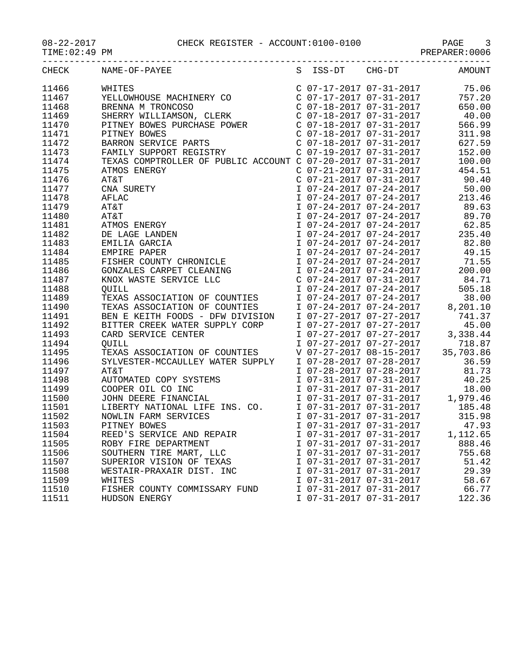| CHECK          | NAME-OF-PAYEE                                                                                                                                                                                                                                      |                                                    |                         | S ISS-DT CHG-DT AMOUNT                                                                                                                                                                                                                     |
|----------------|----------------------------------------------------------------------------------------------------------------------------------------------------------------------------------------------------------------------------------------------------|----------------------------------------------------|-------------------------|--------------------------------------------------------------------------------------------------------------------------------------------------------------------------------------------------------------------------------------------|
| 11466          | WHITES<br>YELLOWHOUSE MACHINERY CO<br>ERENNA M TRONCOSO<br>BRENNA M TRONCOSO<br>SHERRY WILLIAMSON, CLERK<br>C 07-17-2017 07-31-2017<br>C 07-18-2017 07-31-2017<br>C 07-18-2017 07-31-2017<br>PITNEY BOWES PURCHASE POWER<br>PITNEY BOWES<br>PITNEY |                                                    |                         |                                                                                                                                                                                                                                            |
| 11467          |                                                                                                                                                                                                                                                    |                                                    |                         |                                                                                                                                                                                                                                            |
| 11468          |                                                                                                                                                                                                                                                    |                                                    |                         |                                                                                                                                                                                                                                            |
| 11469          |                                                                                                                                                                                                                                                    |                                                    |                         |                                                                                                                                                                                                                                            |
| 11470          |                                                                                                                                                                                                                                                    |                                                    |                         |                                                                                                                                                                                                                                            |
| 11471          |                                                                                                                                                                                                                                                    |                                                    |                         |                                                                                                                                                                                                                                            |
| 11472          |                                                                                                                                                                                                                                                    |                                                    |                         |                                                                                                                                                                                                                                            |
| 11473          |                                                                                                                                                                                                                                                    |                                                    |                         |                                                                                                                                                                                                                                            |
| 11474          | BARRON SERVICE PARTS<br>FAMILY SUPPORT REGISTRY C 07-19-2017 07-31-2017<br>TEXAS COMPTROLLER OF PUBLIC ACCOUNT C 07-20-2017 07-31-2017                                                                                                             |                                                    |                         | 100.00                                                                                                                                                                                                                                     |
| 11475          | ATMOS ENERGY                                                                                                                                                                                                                                       |                                                    | C 07-21-2017 07-31-2017 | 454.51                                                                                                                                                                                                                                     |
| 11476          |                                                                                                                                                                                                                                                    |                                                    |                         | $C$ 07-21-2017 07-31-2017 90.40                                                                                                                                                                                                            |
| 11477          |                                                                                                                                                                                                                                                    |                                                    |                         |                                                                                                                                                                                                                                            |
| 11478          |                                                                                                                                                                                                                                                    |                                                    |                         | $\begin{tabular}{lllllllllll} \texttt{I} & 07-24-2017 & 07-24-2017 & 50.00 \\ \texttt{I} & 07-24-2017 & 07-24-2017 & 213.46 \\ \texttt{I} & 07-24-2017 & 07-24-2017 & 89.63 \\ \texttt{I} & 07-24-2017 & 07-24-2017 & 89.70 \end{tabular}$ |
| 11479          |                                                                                                                                                                                                                                                    |                                                    |                         |                                                                                                                                                                                                                                            |
| 11480          |                                                                                                                                                                                                                                                    |                                                    |                         |                                                                                                                                                                                                                                            |
| 11481          |                                                                                                                                                                                                                                                    |                                                    |                         | I 07-24-2017 07-24-2017 62.85                                                                                                                                                                                                              |
| 11482          |                                                                                                                                                                                                                                                    |                                                    |                         | I 07-24-2017 07-24-2017 235.40                                                                                                                                                                                                             |
| 11483          |                                                                                                                                                                                                                                                    |                                                    |                         | I 07-24-2017 07-24-2017 82.80<br>I 07-24-2017 07-24-2017 49.15                                                                                                                                                                             |
| 11484          | ATMOS ENERGY<br>AT&T<br>CNA SURETY<br>AFLAC<br>AT&T<br>AT&T<br>AT&T<br>AT&T<br>AT&T<br>AT&T<br>AT&T<br>DE LAGE LANDEN<br>DE LAGE LANDEN<br>EMILIA GARCIA<br>EMPIRE PAPER<br>FISHER COUNTY CHRONICLE<br>CONTALES CAPPET CLEANING                    |                                                    |                         |                                                                                                                                                                                                                                            |
| 11485          |                                                                                                                                                                                                                                                    |                                                    |                         | $107 - 24 - 2017$ $07 - 24 - 2017$ $71.55$                                                                                                                                                                                                 |
| 11486          | GONZALES CARPET CLEANING                                                                                                                                                                                                                           |                                                    |                         | I 07-24-2017 07-24-2017 200.00                                                                                                                                                                                                             |
| 11487          | KNOX WASTE SERVICE LLC                                                                                                                                                                                                                             |                                                    |                         | C $07-24-2017$ $07-31-2017$ 84.71                                                                                                                                                                                                          |
| 11488          |                                                                                                                                                                                                                                                    |                                                    |                         |                                                                                                                                                                                                                                            |
| 11489          | QUILL<br>TEXAS ASSOCIATION OF COUNTIES<br>TEXAS ASSOCIATION OF COUNTIES<br>BEN E KEITH FOODS - DFW DIVISION                                                                                                                                        |                                                    |                         | 1 07-24-2017 07-24-2017 505.18<br>1 07-24-2017 07-24-2017 505.18<br>1 07-24-2017 07-24-2017 8,201.10<br>1 07-27-2017 07-27-2017 741.37                                                                                                     |
| 11490          |                                                                                                                                                                                                                                                    |                                                    |                         |                                                                                                                                                                                                                                            |
| 11491          |                                                                                                                                                                                                                                                    |                                                    |                         |                                                                                                                                                                                                                                            |
| 11492          | BITTER CREEK WATER SUPPLY CORP                                                                                                                                                                                                                     |                                                    |                         | I 07-27-2017 07-27-2017 45.00                                                                                                                                                                                                              |
| 11493          | CARD SERVICE CENTER                                                                                                                                                                                                                                |                                                    |                         |                                                                                                                                                                                                                                            |
| 11494          | <b>QUILL</b>                                                                                                                                                                                                                                       |                                                    |                         |                                                                                                                                                                                                                                            |
| 11495          | TEXAS ASSOCIATION OF COUNTIES                                                                                                                                                                                                                      |                                                    |                         | 1 07-27-2017 07-27-2017 3,338.44<br>1 07-27-2017 07-27-2017 718.87<br>V 07-27-2017 08-15-2017 35,703.86<br>1 07-28-2017 07-28-2017 36.59                                                                                                   |
| 11496          | SYLVESTER-MCCAULLEY WATER SUPPLY                                                                                                                                                                                                                   |                                                    |                         |                                                                                                                                                                                                                                            |
| 11497          | AT&T                                                                                                                                                                                                                                               |                                                    | I 07-28-2017 07-28-2017 | 81.73                                                                                                                                                                                                                                      |
| 11498          |                                                                                                                                                                                                                                                    |                                                    | I 07-31-2017 07-31-2017 | 40.25                                                                                                                                                                                                                                      |
| 11499          | AI&I<br>AUTOMATED COPY SYSTEMS<br>COOPER OIL CO INC<br>JOHN DEERE FINANCIAL<br>LIBERTY NATIONAL LIFE INS. CO.                                                                                                                                      |                                                    |                         | 1 07-31-2017 07-31-2017 18.00<br>1 07-31-2017 07-31-2017 1,979.46<br>1 07-31-2017 07-31-2017 185.48<br>1 07-31-2017 07-31-2017 315.98                                                                                                      |
| 11500          |                                                                                                                                                                                                                                                    |                                                    |                         |                                                                                                                                                                                                                                            |
| 11501          |                                                                                                                                                                                                                                                    |                                                    |                         |                                                                                                                                                                                                                                            |
| 11502          | NOWLIN FARM SERVICES                                                                                                                                                                                                                               |                                                    |                         |                                                                                                                                                                                                                                            |
| 11503          | PITNEY BOWES                                                                                                                                                                                                                                       |                                                    |                         | I 07-31-2017 07-31-2017 47.93                                                                                                                                                                                                              |
| 11504          | REED'S SERVICE AND REPAIR                                                                                                                                                                                                                          | I 07-31-2017 07-31-2017                            |                         | 1,112.65                                                                                                                                                                                                                                   |
| 11505          | ROBY FIRE DEPARTMENT                                                                                                                                                                                                                               | I 07-31-2017 07-31-2017                            |                         | 888.46                                                                                                                                                                                                                                     |
| 11506          | SOUTHERN TIRE MART, LLC                                                                                                                                                                                                                            | I 07-31-2017 07-31-2017                            |                         | 755.68                                                                                                                                                                                                                                     |
| 11507<br>11508 | SUPERIOR VISION OF TEXAS                                                                                                                                                                                                                           | I 07-31-2017 07-31-2017<br>I 07-31-2017 07-31-2017 |                         | 51.42<br>29.39                                                                                                                                                                                                                             |
| 11509          | WESTAIR-PRAXAIR DIST. INC                                                                                                                                                                                                                          |                                                    |                         | 58.67                                                                                                                                                                                                                                      |
| 11510          | WHITES<br>FISHER COUNTY COMMISSARY FUND                                                                                                                                                                                                            | I 07-31-2017 07-31-2017<br>I 07-31-2017 07-31-2017 |                         | 66.77                                                                                                                                                                                                                                      |
| 11511          | HUDSON ENERGY                                                                                                                                                                                                                                      | I 07-31-2017 07-31-2017                            |                         | 122.36                                                                                                                                                                                                                                     |
|                |                                                                                                                                                                                                                                                    |                                                    |                         |                                                                                                                                                                                                                                            |